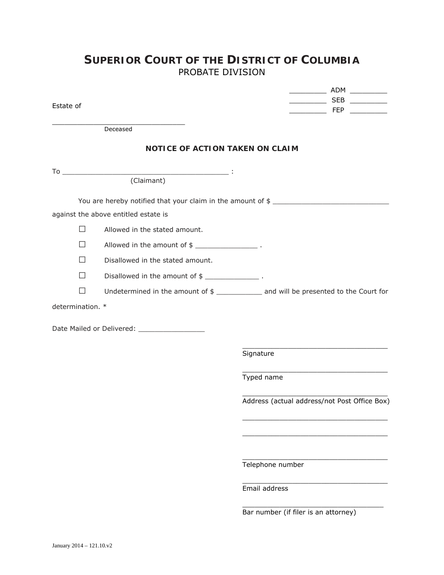## **SUPERIOR COURT OF THE DISTRICT OF COLUMBIA** PROBATE DIVISION

\_\_\_\_\_\_\_\_\_ ADM \_\_\_\_\_\_\_\_\_

| Estate of        |                                                        | _________________ SEB ____________                                                   |
|------------------|--------------------------------------------------------|--------------------------------------------------------------------------------------|
|                  | <u> 1990 - Johann Barbara, martin a</u><br>Deceased    |                                                                                      |
|                  | <b>NOTICE OF ACTION TAKEN ON CLAIM</b>                 |                                                                                      |
|                  |                                                        |                                                                                      |
|                  | (Claimant)                                             |                                                                                      |
|                  |                                                        | You are hereby notified that your claim in the amount of \$                          |
|                  | against the above entitled estate is                   |                                                                                      |
| $\mathsf{L}$     | Allowed in the stated amount.                          |                                                                                      |
| $\perp$          |                                                        |                                                                                      |
| $\mathsf{L}$     | Disallowed in the stated amount.                       |                                                                                      |
| $\perp$          | Disallowed in the amount of \$ ______________________. |                                                                                      |
| $\mathsf{L}$     |                                                        | Undetermined in the amount of \$ ____________ and will be presented to the Court for |
| determination. * |                                                        |                                                                                      |
|                  |                                                        |                                                                                      |
|                  | Date Mailed or Delivered: ____________________         |                                                                                      |
|                  |                                                        | Signature                                                                            |
|                  |                                                        | Typed name                                                                           |
|                  |                                                        | Address (actual address/not Post Office Box)                                         |
|                  |                                                        |                                                                                      |
|                  |                                                        |                                                                                      |
|                  |                                                        | Telephone number                                                                     |
|                  |                                                        | Email address                                                                        |

Bar number (if filer is an attorney)

 $\frac{1}{\sqrt{2}}$  ,  $\frac{1}{\sqrt{2}}$  ,  $\frac{1}{\sqrt{2}}$  ,  $\frac{1}{\sqrt{2}}$  ,  $\frac{1}{\sqrt{2}}$  ,  $\frac{1}{\sqrt{2}}$  ,  $\frac{1}{\sqrt{2}}$  ,  $\frac{1}{\sqrt{2}}$  ,  $\frac{1}{\sqrt{2}}$  ,  $\frac{1}{\sqrt{2}}$  ,  $\frac{1}{\sqrt{2}}$  ,  $\frac{1}{\sqrt{2}}$  ,  $\frac{1}{\sqrt{2}}$  ,  $\frac{1}{\sqrt{2}}$  ,  $\frac{1}{\sqrt{2}}$